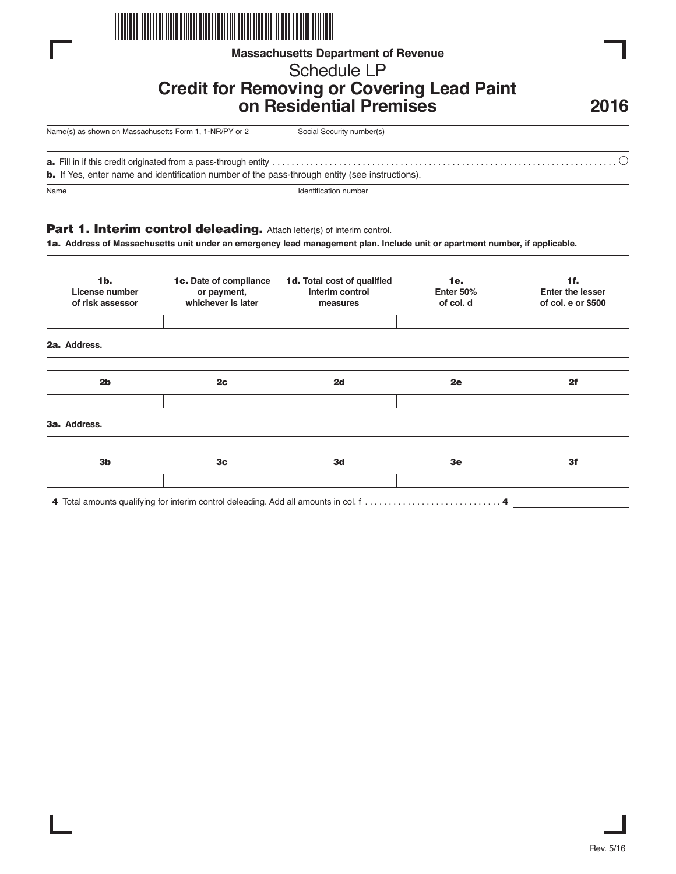

## **Massachusetts Department of Revenue**

# Schedule LP

# **Credit for Removing or Covering Lead Paint on Residential Premises**

**2016**

| 1-NR/PY or 2<br>Name(s) as shown on Massachusetts Form 1, | Social Security number(s) |
|-----------------------------------------------------------|---------------------------|
|                                                           |                           |

**a.** Fill in if this credit originated from a pass-through entity . . . . . . . . . . . . . . . . . . . . . . . . . . . . . . . . . . . . . . . . . . . . . . . . . . . . . . . . . . . . . . . . . . . . . . . . .

**b.** If Yes, enter name and identification number of the pass-through entity (see instructions).

Name Identification number

## **Part 1. Interim control deleading.** Attach letter(s) of interim control.

**1a. Address of Massachusetts unit under an emergency lead management plan. Include unit or apartment number, if applicable.**

| 1 <sub>b</sub><br>License number<br>of risk assessor | 1c. Date of compliance<br>or payment,<br>whichever is later | 1d. Total cost of qualified<br>interim control<br>measures | 1e.<br>Enter 50%<br>of col. d | 1f.<br><b>Enter the lesser</b><br>of col. e or \$500 |
|------------------------------------------------------|-------------------------------------------------------------|------------------------------------------------------------|-------------------------------|------------------------------------------------------|
| 2a. Address.                                         |                                                             |                                                            |                               |                                                      |
| 2 <sub>b</sub>                                       | 2c                                                          | 2d                                                         | 2e                            | 2f                                                   |
| 3a. Address.                                         |                                                             |                                                            |                               |                                                      |
| 3 <sub>b</sub>                                       | 3 <sub>c</sub>                                              | 3d                                                         | 3e                            | 3f                                                   |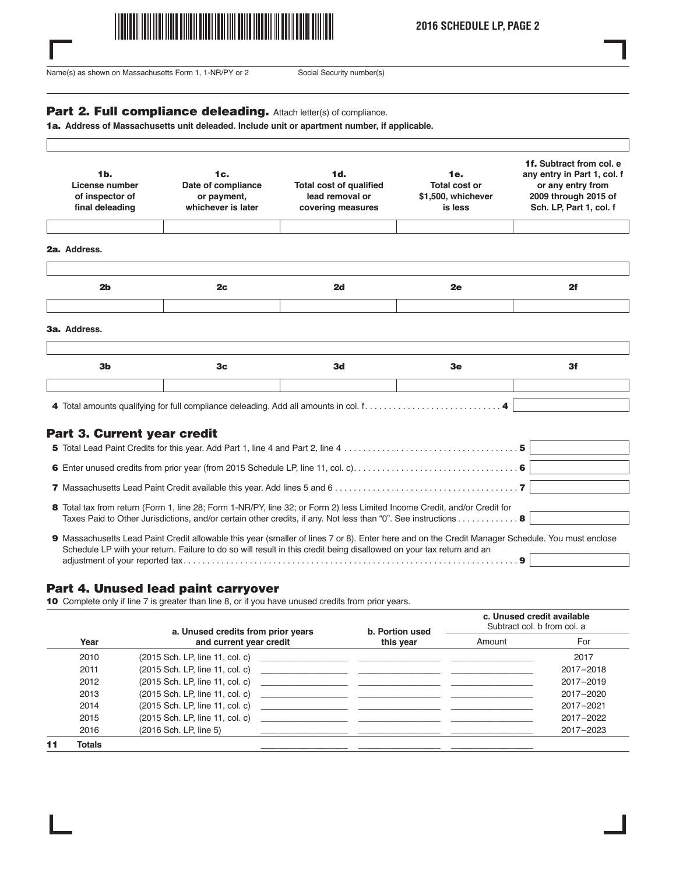

**2016 SCHEDULE LP, PAGE 2**

Name(s) as shown on Massachusetts Form 1, 1-NR/PY or 2 Social Security number(s)

 $\Gamma$ 

#### Part 2. Full compliance deleading. Attach letter(s) of compliance.

**1a. Address of Massachusetts unit deleaded. Include unit or apartment number, if applicable.**

| 1 <sub>b</sub><br>License number<br>of inspector of<br>final deleading | 1c.<br>Date of compliance<br>or payment,<br>whichever is later | 1d.<br><b>Total cost of qualified</b><br>lead removal or<br>covering measures | 1e.<br><b>Total cost or</b><br>\$1,500, whichever<br>is less | 1f. Subtract from col. e.<br>any entry in Part 1, col. f<br>or any entry from<br>2009 through 2015 of<br>Sch. LP, Part 1, col. f |
|------------------------------------------------------------------------|----------------------------------------------------------------|-------------------------------------------------------------------------------|--------------------------------------------------------------|----------------------------------------------------------------------------------------------------------------------------------|
| 2a. Address.                                                           |                                                                |                                                                               |                                                              |                                                                                                                                  |
| 2 <sub>b</sub>                                                         | 2 <sub>c</sub>                                                 | 2d                                                                            | 2e                                                           | 2f                                                                                                                               |
|                                                                        |                                                                |                                                                               |                                                              |                                                                                                                                  |
| 3a. Address.                                                           |                                                                |                                                                               |                                                              |                                                                                                                                  |
| 3 <sub>b</sub>                                                         | 3 <sub>c</sub>                                                 | 3d                                                                            | 3e                                                           | 3f                                                                                                                               |
|                                                                        |                                                                |                                                                               |                                                              |                                                                                                                                  |

## **Part 3. Current year credit**

| 8 Total tax from return (Form 1, line 28; Form 1-NR/PY, line 32; or Form 2) less Limited Income Credit, and/or Credit for<br>Taxes Paid to Other Jurisdictions, and/or certain other credits, if any. Not less than "0". See instructions 8                              |
|--------------------------------------------------------------------------------------------------------------------------------------------------------------------------------------------------------------------------------------------------------------------------|
| 9 Massachusetts Lead Paint Credit allowable this year (smaller of lines 7 or 8). Enter here and on the Credit Manager Schedule. You must enclose<br>Schedule LP with your return. Failure to do so will result in this credit being disallowed on your tax return and an |

adjustment of your reported tax. . . . . . . . . . . . . . . . . . . . . . . . . . . . . . . . . . . . . . . . . . . . . . . . . . . . . . . . . . . . . . . . . . . . . . . **9**

## **Part 4. Unused lead paint carryover**

**10** Complete only if line 7 is greater than line 8, or if you have unused credits from prior years.

|    |        | a. Unused credits from prior years<br>and current year credit | b. Portion used<br>this year                           | c. Unused credit available<br>Subtract col. b from col. a |           |
|----|--------|---------------------------------------------------------------|--------------------------------------------------------|-----------------------------------------------------------|-----------|
|    | Year   |                                                               |                                                        | Amount                                                    | For       |
|    | 2010   | (2015 Sch. LP, line 11, col. c)                               | <u> 1989 - Jan Barat, margaret al II-lea (b. 1989)</u> |                                                           | 2017      |
|    | 2011   |                                                               |                                                        |                                                           | 2017-2018 |
|    | 2012   | (2015 Sch. LP, line 11, col. c)                               |                                                        |                                                           | 2017-2019 |
|    | 2013   |                                                               |                                                        |                                                           | 2017-2020 |
|    | 2014   | (2015 Sch. LP, line 11, col. c)                               | <u> 1980 - Andrea Andrew Maria (h. 1980).</u>          |                                                           | 2017-2021 |
|    | 2015   | (2015 Sch. LP, line 11, col. c)                               |                                                        |                                                           | 2017-2022 |
|    | 2016   | (2016 Sch. LP, line 5)                                        |                                                        |                                                           | 2017-2023 |
| 11 | Totals |                                                               |                                                        |                                                           |           |